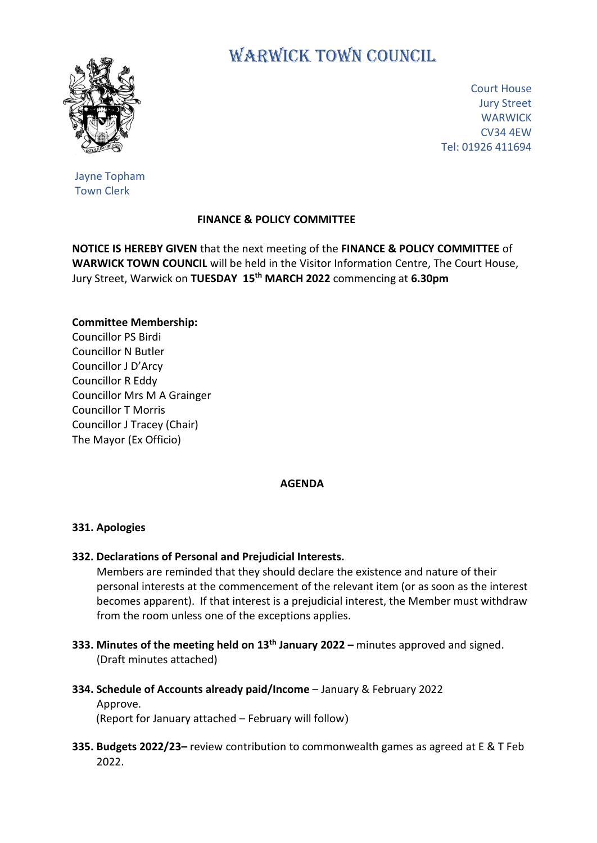

# WARWICK TOWN COUNCIL

Court House Jury Street **WARWICK** CV34 4EW Tel: 01926 411694

Jayne Topham Town Clerk

## **FINANCE & POLICY COMMITTEE**

**NOTICE IS HEREBY GIVEN** that the next meeting of the **FINANCE & POLICY COMMITTEE** of **WARWICK TOWN COUNCIL** will be held in the Visitor Information Centre, The Court House, Jury Street, Warwick on **TUESDAY 15 th MARCH 2022** commencing at **6.30pm**

#### **Committee Membership:**

Councillor PS Birdi Councillor N Butler Councillor J D'Arcy Councillor R Eddy Councillor Mrs M A Grainger Councillor T Morris Councillor J Tracey (Chair) The Mayor (Ex Officio)

#### **AGENDA**

#### **331. Apologies**

### **332. Declarations of Personal and Prejudicial Interests.**

 Members are reminded that they should declare the existence and nature of their personal interests at the commencement of the relevant item (or as soon as the interest becomes apparent). If that interest is a prejudicial interest, the Member must withdraw from the room unless one of the exceptions applies.

- **333. Minutes of the meeting held on 13th January 2022 –** minutes approved and signed. (Draft minutes attached)
- **334. Schedule of Accounts already paid/Income** January & February 2022 Approve. (Report for January attached – February will follow)
- **335. Budgets 2022/23–** review contribution to commonwealth games as agreed at E & T Feb 2022.